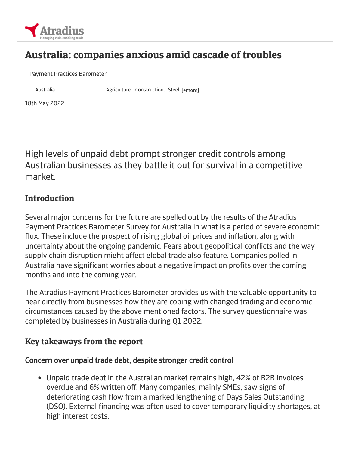

# Australia: companies anxious amid cascade of troubles

Payment Practices Barometer

Australia **Agriculture, Construction, Steel [+more]** 

18th May 2022

High levels of unpaid debt prompt stronger credit controls among Australian businesses as they battle it out for survival in a competitive market.

### **Introduction**

Several major concerns for the future are spelled out by the results of the Atradius Payment Practices Barometer Survey for Australia in what is a period of severe economic flux. These include the prospect of rising global oil prices and inflation, along with uncertainty about the ongoing pandemic. Fears about geopolitical conflicts and the way supply chain disruption might affect global trade also feature. Companies polled in Australia have significant worries about a negative impact on profits over the coming months and into the coming year.

The Atradius Payment Practices Barometer provides us with the valuable opportunity to hear directly from businesses how they are coping with changed trading and economic circumstances caused by the above mentioned factors. The survey questionnaire was completed by businesses in Australia during Q1 2022.

### Key takeaways from the report

### Concern over unpaid trade debt, despite stronger credit control

Unpaid trade debt in the Australian market remains high, 42% of B2B invoices overdue and 6% written off. Many companies, mainly SMEs, saw signs of deteriorating cash flow from a marked lengthening of Days Sales Outstanding (DSO). External financing was often used to cover temporary liquidity shortages, at high interest costs.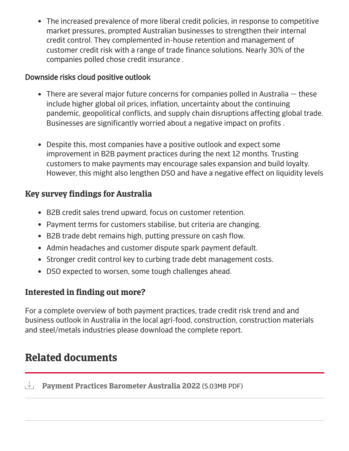The increased prevalence of more liberal credit policies, in response to competitive market pressures, prompted Australian businesses to strengthen their internal credit control. They complemented in-house retention and management of customer credit risk with a range of trade finance solutions. Nearly 30% of the companies polled chose credit insurance .

### Downside risks cloud positive outlook

- $\bullet$  There are several major future concerns for companies polled in Australia  $-$  these include higher global oil prices, inflation, uncertainty about the continuing pandemic, geopolitical conflicts, and supply chain disruptions affecting global trade. Businesses are significantly worried about a negative impact on profits .
- Despite this, most companies have a positive outlook and expect some improvement in B2B payment practices during the next 12 months. Trusting customers to make payments may encourage sales expansion and build loyalty. However, this might also lengthen DSO and have a negative effect on liquidity levels

### Key survey findings for Australia

- B2B credit sales trend upward, focus on customer retention.
- Payment terms for customers stabilise, but criteria are changing.
- B2B trade debt remains high, putting pressure on cash flow.
- Admin headaches and customer dispute spark payment default.
- Stronger credit control key to curbing trade debt management costs.
- DSO expected to worsen, some tough challenges ahead.

## Interested in finding out more?

For a complete overview of both payment practices, trade credit risk trend and and business outlook in Australia in the local agri-food, construction, construction materials and steel/metals industries please download the complete report.

# Related documents

**Payment Practices [Barometer](https://group.atradius.com/documents/payment-practices-barometer-australia-en-2022.pdf) Australia 2022** (5.03MB PDF)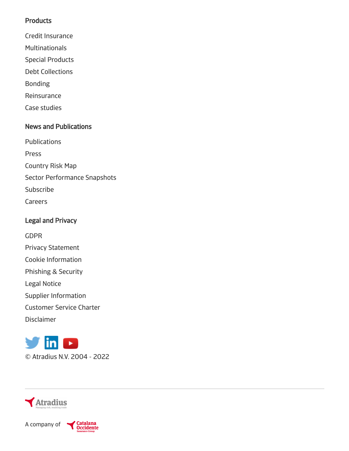#### **Products**

- Credit [Insurance](https://group.atradius.com/products/credit-insurance.html)
- [Multinationals](https://group.atradius.com/products/global-credit-insurance.html)
- Special [Products](https://group.atradius.com/servlet/Satellite?c=AT_Content_C&childpagename=Group%2FAT_Content_C%2FProductTemplate&cid=1435152068329&pagename=WrapperSiteEntry)
- Debt [Collections](https://group.atradius.com/products/debt-collections.html)
- [Bonding](https://group.atradius.com/products/bonding.html)
- [Reinsurance](https://group.atradius.com/products/reinsurance.html)
- Case [studies](https://group.atradius.com/products/case-studies.html)

### News and Publications

- [Publications](https://group.atradius.com/publications/)
- [Press](https://group.atradius.com/press/)
- [Country](https://group.atradius.com/publications/trading-briefs/risk-map.html) Risk Map
- Sector [Performance](https://group.atradius.com/publications/sector-performance-snapshots.html) Snapshots
- [Subscribe](https://group.atradius.com/subscription-details/)
- [Careers](https://group.atradius.com/about-us/carreers-overview)

### Legal and Privacy

[GDPR](https://group.atradius.com/gdpr.html)

- Privacy [Statement](https://group.atradius.com/privacy-statement.html)
- Cookie [Information](https://group.atradius.com/cookie-information.html)
- [Phishing](https://group.atradius.com/security.html) & Security
- Legal [Notice](https://group.atradius.com/legal-notice.html)
- Supplier [Information](https://group.atradius.com/supplier-information.html)
- [Customer](https://group.atradius.com/atradius-customer-service-charter.html) Service Charter
- [Disclaimer](https://group.atradius.com/disclaimer.html)